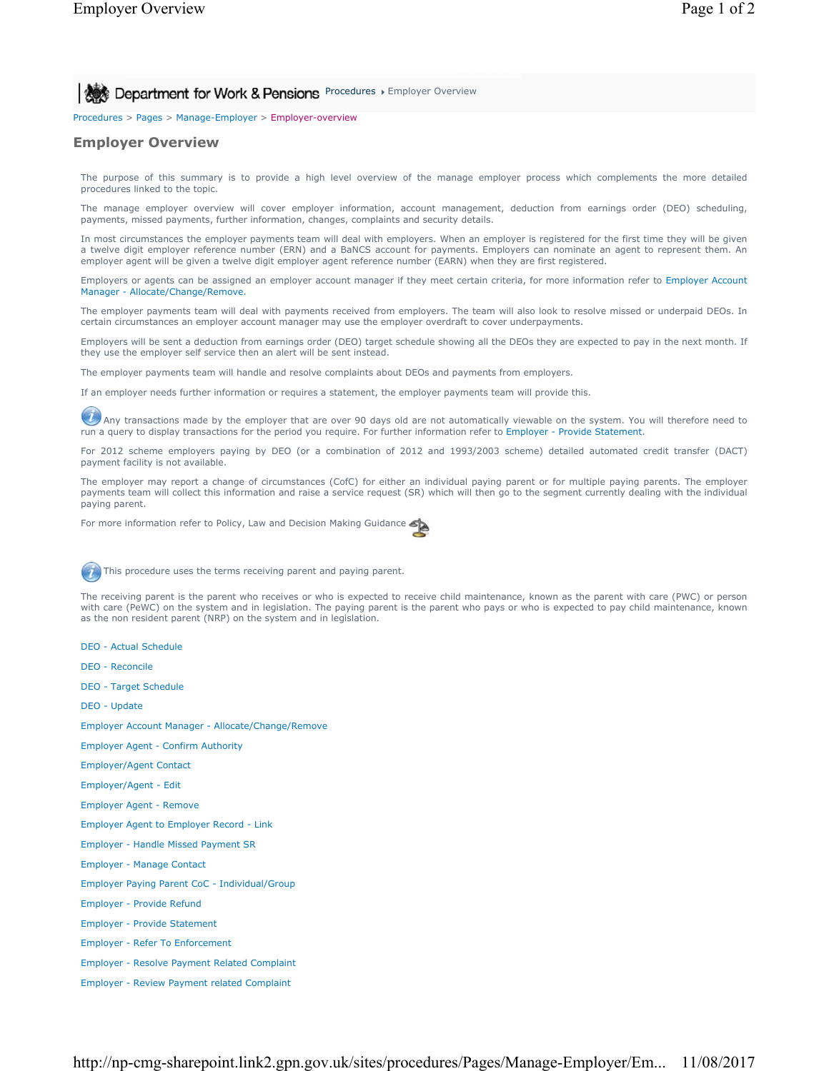Procedures > Pages > Manage-Employer > Employer-overview

## **Employer Overview**

The purpose of this summary is to provide a high level overview of the manage employer process which complements the more detailed procedures linked to the topic.

The manage employer overview will cover employer information, account management, deduction from earnings order (DEO) scheduling, payments, missed payments, further information, changes, complaints and security details.

In most circumstances the employer payments team will deal with employers. When an employer is registered for the first time they will be given a twelve digit employer reference number (ERN) and a BaNCS account for payments. Employers can nominate an agent to represent them. An employer agent will be given a twelve digit employer agent reference number (EARN) when they are first registered.

Employers or agents can be assigned an employer account manager if they meet certain criteria, for more information refer to Employer Account Manager - Allocate/Change/Remove.

The employer payments team will deal with payments received from employers. The team will also look to resolve missed or underpaid DEOs. In certain circumstances an employer account manager may use the employer overdraft to cover underpayments.

Employers will be sent a deduction from earnings order (DEO) target schedule showing all the DEOs they are expected to pay in the next month. If they use the employer self service then an alert will be sent instead.

The employer payments team will handle and resolve complaints about DEOs and payments from employers.

If an employer needs further information or requires a statement, the employer payments team will provide this.

 $U$  Any transactions made by the employer that are over 90 days old are not automatically viewable on the system. You will therefore need to run a query to display transactions for the period you require. For further information refer to Employer - Provide Statement.

For 2012 scheme employers paying by DEO (or a combination of 2012 and 1993/2003 scheme) detailed automated credit transfer (DACT) payment facility is not available.

The employer may report a change of circumstances (CofC) for either an individual paying parent or for multiple paying parents. The employer payments team will collect this information and raise a service request (SR) which will then go to the segment currently dealing with the individual paying parent.

For more information refer to Policy, Law and Decision Making Guidance



This procedure uses the terms receiving parent and paying parent.

The receiving parent is the parent who receives or who is expected to receive child maintenance, known as the parent with care (PWC) or person with care (PeWC) on the system and in legislation. The paying parent is the parent who pays or who is expected to pay child maintenance, known as the non resident parent (NRP) on the system and in legislation.

- DEO Actual Schedule
- DEO Reconcile
- DEO Target Schedule
- DEO Update
- Employer Account Manager Allocate/Change/Remove
- Employer Agent Confirm Authority
- Employer/Agent Contact
- Employer/Agent Edit
- Employer Agent Remove
- Employer Agent to Employer Record Link
- Employer Handle Missed Payment SR
- Employer Manage Contact
- Employer Paying Parent CoC Individual/Group
- Employer Provide Refund
- Employer Provide Statement
- Employer Refer To Enforcement
- Employer Resolve Payment Related Complaint
- Employer Review Payment related Complaint